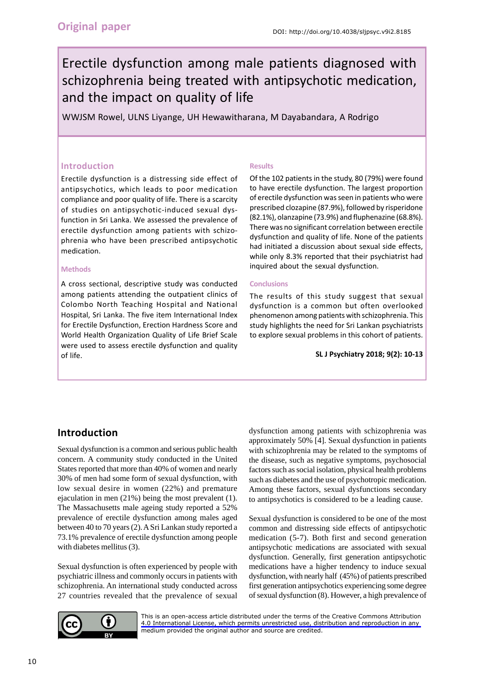# Erectile dysfunction among male patients diagnosed with schizophrenia being treated with antipsychotic medication, and the impact on quality of life

WWJSM Rowel, ULNS Liyange, UH Hewawitharana, M Dayabandara, A Rodrigo

#### **Introduction**

Erectile dysfunction is a distressing side effect of antipsychotics, which leads to poor medication compliance and poor quality of life. There is a scarcity of studies on antipsychotic-induced sexual dysfunction in Sri Lanka. We assessed the prevalence of erectile dysfunction among patients with schizophrenia who have been prescribed antipsychotic medication.

#### **Methods**

A cross sectional, descriptive study was conducted among patients attending the outpatient clinics of Colombo North Teaching Hospital and National Hospital, Sri Lanka. The five item International Index for Erectile Dysfunction, Erection Hardness Score and World Health Organization Quality of Life Brief Scale were used to assess erectile dysfunction and quality of life.

#### **Results**

Of the 102 patients in the study, 80 (79%) were found to have erectile dysfunction. The largest proportion of erectile dysfunction was seen in patients who were prescribed clozapine (87.9%), followed by risperidone (82.1%), olanzapine (73.9%) and fluphenazine (68.8%). There was no significant correlation between erectile dysfunction and quality of life. None of the patients had initiated a discussion about sexual side effects, while only 8.3% reported that their psychiatrist had inquired about the sexual dysfunction.

#### **Conclusions**

The results of this study suggest that sexual dysfunction is a common but often overlooked phenomenon among patients with schizophrenia. This study highlights the need for Sri Lankan psychiatrists to explore sexual problems in this cohort of patients.

**SL J Psychiatry 2018; 9(2): 10-13**

# **Introduction**

Sexual dysfunction is a common and serious public health concern. A community study conducted in the United States reported that more than 40% of women and nearly 30% of men had some form of sexual dysfunction, with low sexual desire in women (22%) and premature ejaculation in men (21%) being the most prevalent (1). The Massachusetts male ageing study reported a 52% prevalence of erectile dysfunction among males aged between 40 to 70 years (2). A Sri Lankan study reported a 73.1% prevalence of erectile dysfunction among people with diabetes mellitus (3).

Sexual dysfunction is often experienced by people with psychiatric illness and commonly occurs in patients with schizophrenia. An international study conducted across 27 countries revealed that the prevalence of sexual dysfunction among patients with schizophrenia was approximately 50% [4]. Sexual dysfunction in patients with schizophrenia may be related to the symptoms of the disease, such as negative symptoms, psychosocial factors such as social isolation, physical health problems such as diabetes and the use of psychotropic medication. Among these factors, sexual dysfunctions secondary to antipsychotics is considered to be a leading cause.

Sexual dysfunction is considered to be one of the most common and distressing side effects of antipsychotic medication (5-7). Both first and second generation antipsychotic medications are associated with sexual dysfunction. Generally, first generation antipsychotic medications have a higher tendency to induce sexual dysfunction, with nearly half (45%) of patients prescribed first generation antipsychotics experiencing some degree of sexual dysfunction (8). However, a high prevalence of



[This is an open-access article distributed under the terms of the Creative Commons Attribution](https://creativecommons.org/licenses/by/4.0/legalcode)  4.0 International License, which permits unrestricted use, distribution and reproduction in any medium provided the original author and source are credited.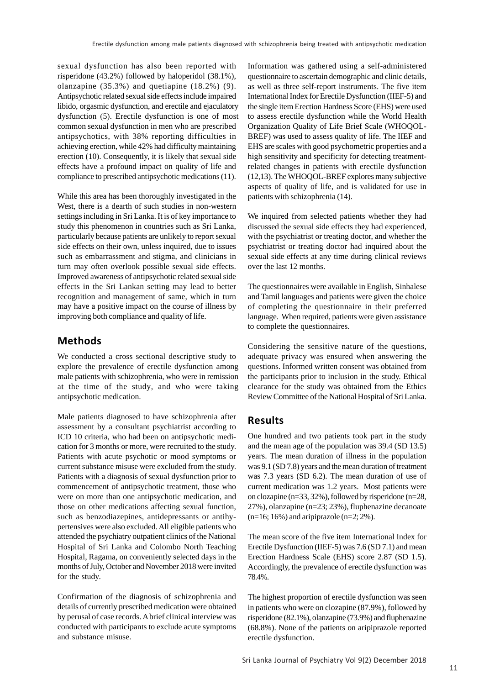sexual dysfunction has also been reported with risperidone (43.2%) followed by haloperidol (38.1%), olanzapine (35.3%) and quetiapine (18.2%) (9). Antipsychotic related sexual side effects include impaired libido, orgasmic dysfunction, and erectile and ejaculatory dysfunction (5). Erectile dysfunction is one of most common sexual dysfunction in men who are prescribed antipsychotics, with 38% reporting difficulties in achieving erection, while 42% had difficulty maintaining erection (10). Consequently, it is likely that sexual side effects have a profound impact on quality of life and compliance to prescribed antipsychotic medications (11).

While this area has been thoroughly investigated in the West, there is a dearth of such studies in non-western settings including in Sri Lanka. It is of key importance to study this phenomenon in countries such as Sri Lanka, particularly because patients are unlikely to report sexual side effects on their own, unless inquired, due to issues such as embarrassment and stigma, and clinicians in turn may often overlook possible sexual side effects. Improved awareness of antipsychotic related sexual side effects in the Sri Lankan setting may lead to better recognition and management of same, which in turn may have a positive impact on the course of illness by improving both compliance and quality of life.

### **Methods**

We conducted a cross sectional descriptive study to explore the prevalence of erectile dysfunction among male patients with schizophrenia, who were in remission at the time of the study, and who were taking antipsychotic medication.

Male patients diagnosed to have schizophrenia after assessment by a consultant psychiatrist according to ICD 10 criteria, who had been on antipsychotic medication for 3 months or more, were recruited to the study. Patients with acute psychotic or mood symptoms or current substance misuse were excluded from the study. Patients with a diagnosis of sexual dysfunction prior to commencement of antipsychotic treatment, those who were on more than one antipsychotic medication, and those on other medications affecting sexual function, such as benzodiazepines, antidepressants or antihypertensives were also excluded. All eligible patients who attended the psychiatry outpatient clinics of the National Hospital of Sri Lanka and Colombo North Teaching Hospital, Ragama, on conveniently selected days in the months of July, October and November 2018 were invited for the study.

Confirmation of the diagnosis of schizophrenia and details of currently prescribed medication were obtained by perusal of case records. A brief clinical interview was conducted with participants to exclude acute symptoms and substance misuse.

Information was gathered using a self-administered questionnaire to ascertain demographic and clinic details, as well as three self-report instruments. The five item International Index for Erectile Dysfunction (IIEF-5) and the single item Erection Hardness Score (EHS) were used to assess erectile dysfunction while the World Health Organization Quality of Life Brief Scale (WHOQOL-BREF) was used to assess quality of life. The IIEF and EHS are scales with good psychometric properties and a high sensitivity and specificity for detecting treatmentrelated changes in patients with erectile dysfunction (12,13). The WHOQOL-BREF explores many subjective aspects of quality of life, and is validated for use in patients with schizophrenia (14).

We inquired from selected patients whether they had discussed the sexual side effects they had experienced, with the psychiatrist or treating doctor, and whether the psychiatrist or treating doctor had inquired about the sexual side effects at any time during clinical reviews over the last 12 months.

The questionnaires were available in English, Sinhalese and Tamil languages and patients were given the choice of completing the questionnaire in their preferred language. When required, patients were given assistance to complete the questionnaires.

Considering the sensitive nature of the questions, adequate privacy was ensured when answering the questions. Informed written consent was obtained from the participants prior to inclusion in the study. Ethical clearance for the study was obtained from the Ethics Review Committee of the National Hospital of Sri Lanka.

# **Results**

One hundred and two patients took part in the study and the mean age of the population was 39.4 (SD 13.5) years. The mean duration of illness in the population was 9.1 (SD 7.8) years and the mean duration of treatment was 7.3 years (SD 6.2). The mean duration of use of current medication was 1.2 years. Most patients were on clozapine (n=33, 32%), followed by risperidone (n=28, 27%), olanzapine (n=23; 23%), fluphenazine decanoate  $(n=16; 16%)$  and aripiprazole  $(n=2; 2%)$ .

The mean score of the five item International Index for Erectile Dysfunction (IIEF-5) was 7.6 (SD 7.1) and mean Erection Hardness Scale (EHS) score 2.87 (SD 1.5). Accordingly, the prevalence of erectile dysfunction was 78.4%.

The highest proportion of erectile dysfunction was seen in patients who were on clozapine (87.9%), followed by risperidone (82.1%), olanzapine (73.9%) and fluphenazine (68.8%). None of the patients on aripiprazole reported erectile dysfunction.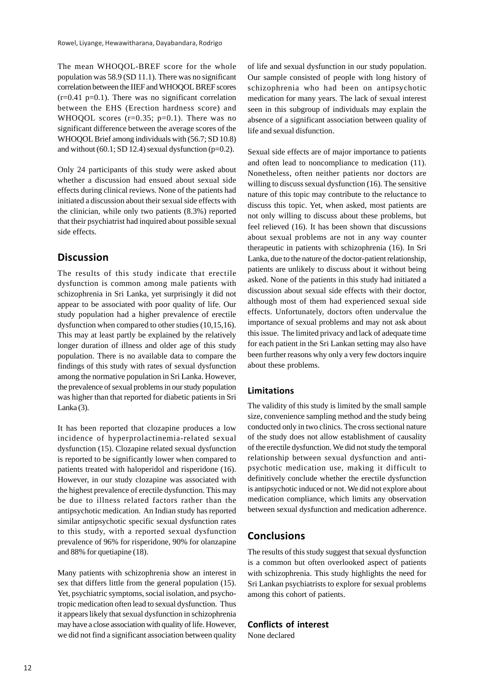The mean WHOQOL-BREF score for the whole population was 58.9 (SD 11.1). There was no significant correlation between the IIEF and WHOQOL BREF scores  $(r=0.41 \text{ p}=0.1)$ . There was no significant correlation between the EHS (Erection hardness score) and WHOQOL scores  $(r=0.35; p=0.1)$ . There was no significant difference between the average scores of the WHOQOL Brief among individuals with (56.7; SD 10.8) and without  $(60.1; SD 12.4)$  sexual dysfunction  $(p=0.2)$ .

Only 24 participants of this study were asked about whether a discussion had ensued about sexual side effects during clinical reviews. None of the patients had initiated a discussion about their sexual side effects with the clinician, while only two patients (8.3%) reported that their psychiatrist had inquired about possible sexual side effects.

# **Discussion**

The results of this study indicate that erectile dysfunction is common among male patients with schizophrenia in Sri Lanka, yet surprisingly it did not appear to be associated with poor quality of life. Our study population had a higher prevalence of erectile dysfunction when compared to other studies (10,15,16). This may at least partly be explained by the relatively longer duration of illness and older age of this study population. There is no available data to compare the findings of this study with rates of sexual dysfunction among the normative population in Sri Lanka. However, the prevalence of sexual problems in our study population was higher than that reported for diabetic patients in Sri Lanka $(3)$ .

It has been reported that clozapine produces a low incidence of hyperprolactinemia-related sexual dysfunction (15). Clozapine related sexual dysfunction is reported to be significantly lower when compared to patients treated with haloperidol and risperidone (16). However, in our study clozapine was associated with the highest prevalence of erectile dysfunction. This may be due to illness related factors rather than the antipsychotic medication. An Indian study has reported similar antipsychotic specific sexual dysfunction rates to this study, with a reported sexual dysfunction prevalence of 96% for risperidone, 90% for olanzapine and 88% for quetiapine (18).

Many patients with schizophrenia show an interest in sex that differs little from the general population (15). Yet, psychiatric symptoms, social isolation, and psychotropic medication often lead to sexual dysfunction. Thus it appears likely that sexual dysfunction in schizophrenia may have a close association with quality of life. However, we did not find a significant association between quality

of life and sexual dysfunction in our study population. Our sample consisted of people with long history of schizophrenia who had been on antipsychotic medication for many years. The lack of sexual interest seen in this subgroup of individuals may explain the absence of a significant association between quality of life and sexual disfunction.

Sexual side effects are of major importance to patients and often lead to noncompliance to medication (11). Nonetheless, often neither patients nor doctors are willing to discuss sexual dysfunction (16). The sensitive nature of this topic may contribute to the reluctance to discuss this topic. Yet, when asked, most patients are not only willing to discuss about these problems, but feel relieved (16). It has been shown that discussions about sexual problems are not in any way counter therapeutic in patients with schizophrenia (16). In Sri Lanka, due to the nature of the doctor-patient relationship, patients are unlikely to discuss about it without being asked. None of the patients in this study had initiated a discussion about sexual side effects with their doctor, although most of them had experienced sexual side effects. Unfortunately, doctors often undervalue the importance of sexual problems and may not ask about this issue. The limited privacy and lack of adequate time for each patient in the Sri Lankan setting may also have been further reasons why only a very few doctors inquire about these problems.

#### **Limitations**

The validity of this study is limited by the small sample size, convenience sampling method and the study being conducted only in two clinics. The cross sectional nature of the study does not allow establishment of causality of the erectile dysfunction. We did not study the temporal relationship between sexual dysfunction and antipsychotic medication use, making it difficult to definitively conclude whether the erectile dysfunction is antipsychotic induced or not. We did not explore about medication compliance, which limits any observation between sexual dysfunction and medication adherence.

# **Conclusions**

The results of this study suggest that sexual dysfunction is a common but often overlooked aspect of patients with schizophrenia. This study highlights the need for Sri Lankan psychiatrists to explore for sexual problems among this cohort of patients.

#### **Conflicts of interest**

None declared